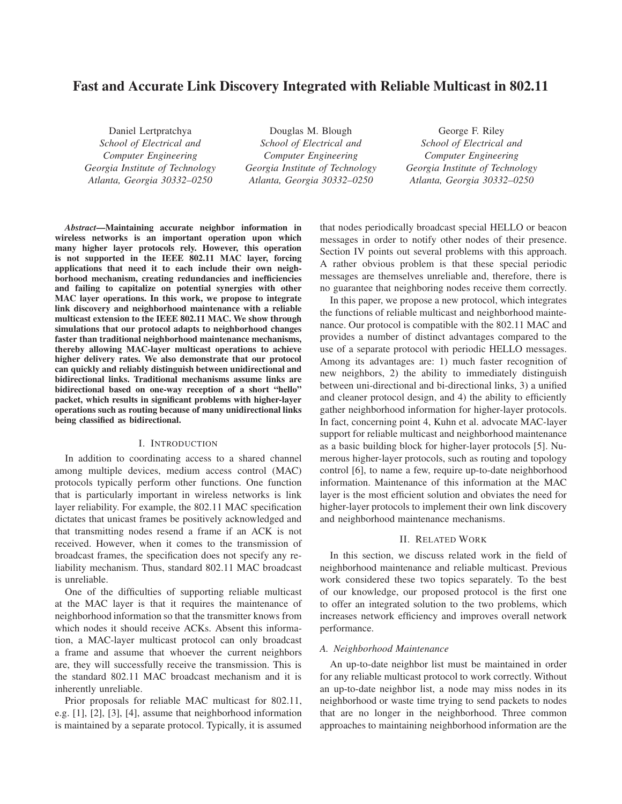# Fast and Accurate Link Discovery Integrated with Reliable Multicast in 802.11

Daniel Lertpratchya *School of Electrical and Computer Engineering Georgia Institute of Technology Atlanta, Georgia 30332–0250*

Douglas M. Blough *School of Electrical and Computer Engineering Georgia Institute of Technology Atlanta, Georgia 30332–0250*

George F. Riley *School of Electrical and Computer Engineering Georgia Institute of Technology Atlanta, Georgia 30332–0250*

*Abstract*—Maintaining accurate neighbor information in wireless networks is an important operation upon which many higher layer protocols rely. However, this operation is not supported in the IEEE 802.11 MAC layer, forcing applications that need it to each include their own neighborhood mechanism, creating redundancies and inefficiencies and failing to capitalize on potential synergies with other MAC layer operations. In this work, we propose to integrate link discovery and neighborhood maintenance with a reliable multicast extension to the IEEE 802.11 MAC. We show through simulations that our protocol adapts to neighborhood changes faster than traditional neighborhood maintenance mechanisms, thereby allowing MAC-layer multicast operations to achieve higher delivery rates. We also demonstrate that our protocol can quickly and reliably distinguish between unidirectional and bidirectional links. Traditional mechanisms assume links are bidirectional based on one-way reception of a short "hello" packet, which results in significant problems with higher-layer operations such as routing because of many unidirectional links being classified as bidirectional.

#### I. INTRODUCTION

In addition to coordinating access to a shared channel among multiple devices, medium access control (MAC) protocols typically perform other functions. One function that is particularly important in wireless networks is link layer reliability. For example, the 802.11 MAC specification dictates that unicast frames be positively acknowledged and that transmitting nodes resend a frame if an ACK is not received. However, when it comes to the transmission of broadcast frames, the specification does not specify any reliability mechanism. Thus, standard 802.11 MAC broadcast is unreliable.

One of the difficulties of supporting reliable multicast at the MAC layer is that it requires the maintenance of neighborhood information so that the transmitter knows from which nodes it should receive ACKs. Absent this information, a MAC-layer multicast protocol can only broadcast a frame and assume that whoever the current neighbors are, they will successfully receive the transmission. This is the standard 802.11 MAC broadcast mechanism and it is inherently unreliable.

Prior proposals for reliable MAC multicast for 802.11, e.g. [1], [2], [3], [4], assume that neighborhood information is maintained by a separate protocol. Typically, it is assumed that nodes periodically broadcast special HELLO or beacon messages in order to notify other nodes of their presence. Section IV points out several problems with this approach. A rather obvious problem is that these special periodic messages are themselves unreliable and, therefore, there is no guarantee that neighboring nodes receive them correctly.

In this paper, we propose a new protocol, which integrates the functions of reliable multicast and neighborhood maintenance. Our protocol is compatible with the 802.11 MAC and provides a number of distinct advantages compared to the use of a separate protocol with periodic HELLO messages. Among its advantages are: 1) much faster recognition of new neighbors, 2) the ability to immediately distinguish between uni-directional and bi-directional links, 3) a unified and cleaner protocol design, and 4) the ability to efficiently gather neighborhood information for higher-layer protocols. In fact, concerning point 4, Kuhn et al. advocate MAC-layer support for reliable multicast and neighborhood maintenance as a basic building block for higher-layer protocols [5]. Numerous higher-layer protocols, such as routing and topology control [6], to name a few, require up-to-date neighborhood information. Maintenance of this information at the MAC layer is the most efficient solution and obviates the need for higher-layer protocols to implement their own link discovery and neighborhood maintenance mechanisms.

### II. RELATED WORK

In this section, we discuss related work in the field of neighborhood maintenance and reliable multicast. Previous work considered these two topics separately. To the best of our knowledge, our proposed protocol is the first one to offer an integrated solution to the two problems, which increases network efficiency and improves overall network performance.

### *A. Neighborhood Maintenance*

An up-to-date neighbor list must be maintained in order for any reliable multicast protocol to work correctly. Without an up-to-date neighbor list, a node may miss nodes in its neighborhood or waste time trying to send packets to nodes that are no longer in the neighborhood. Three common approaches to maintaining neighborhood information are the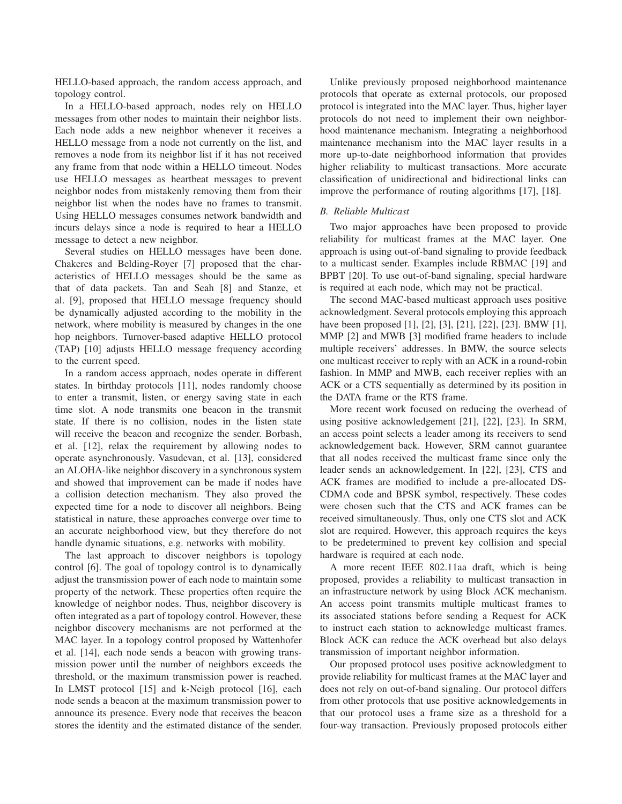HELLO-based approach, the random access approach, and topology control.

In a HELLO-based approach, nodes rely on HELLO messages from other nodes to maintain their neighbor lists. Each node adds a new neighbor whenever it receives a HELLO message from a node not currently on the list, and removes a node from its neighbor list if it has not received any frame from that node within a HELLO timeout. Nodes use HELLO messages as heartbeat messages to prevent neighbor nodes from mistakenly removing them from their neighbor list when the nodes have no frames to transmit. Using HELLO messages consumes network bandwidth and incurs delays since a node is required to hear a HELLO message to detect a new neighbor.

Several studies on HELLO messages have been done. Chakeres and Belding-Royer [7] proposed that the characteristics of HELLO messages should be the same as that of data packets. Tan and Seah [8] and Stanze, et al. [9], proposed that HELLO message frequency should be dynamically adjusted according to the mobility in the network, where mobility is measured by changes in the one hop neighbors. Turnover-based adaptive HELLO protocol (TAP) [10] adjusts HELLO message frequency according to the current speed.

In a random access approach, nodes operate in different states. In birthday protocols [11], nodes randomly choose to enter a transmit, listen, or energy saving state in each time slot. A node transmits one beacon in the transmit state. If there is no collision, nodes in the listen state will receive the beacon and recognize the sender. Borbash, et al. [12], relax the requirement by allowing nodes to operate asynchronously. Vasudevan, et al. [13], considered an ALOHA-like neighbor discovery in a synchronous system and showed that improvement can be made if nodes have a collision detection mechanism. They also proved the expected time for a node to discover all neighbors. Being statistical in nature, these approaches converge over time to an accurate neighborhood view, but they therefore do not handle dynamic situations, e.g. networks with mobility.

The last approach to discover neighbors is topology control [6]. The goal of topology control is to dynamically adjust the transmission power of each node to maintain some property of the network. These properties often require the knowledge of neighbor nodes. Thus, neighbor discovery is often integrated as a part of topology control. However, these neighbor discovery mechanisms are not performed at the MAC layer. In a topology control proposed by Wattenhofer et al. [14], each node sends a beacon with growing transmission power until the number of neighbors exceeds the threshold, or the maximum transmission power is reached. In LMST protocol [15] and k-Neigh protocol [16], each node sends a beacon at the maximum transmission power to announce its presence. Every node that receives the beacon stores the identity and the estimated distance of the sender.

Unlike previously proposed neighborhood maintenance protocols that operate as external protocols, our proposed protocol is integrated into the MAC layer. Thus, higher layer protocols do not need to implement their own neighborhood maintenance mechanism. Integrating a neighborhood maintenance mechanism into the MAC layer results in a more up-to-date neighborhood information that provides higher reliability to multicast transactions. More accurate classification of unidirectional and bidirectional links can improve the performance of routing algorithms [17], [18].

### *B. Reliable Multicast*

Two major approaches have been proposed to provide reliability for multicast frames at the MAC layer. One approach is using out-of-band signaling to provide feedback to a multicast sender. Examples include RBMAC [19] and BPBT [20]. To use out-of-band signaling, special hardware is required at each node, which may not be practical.

The second MAC-based multicast approach uses positive acknowledgment. Several protocols employing this approach have been proposed [1], [2], [3], [21], [22], [23]. BMW [1], MMP [2] and MWB [3] modified frame headers to include multiple receivers' addresses. In BMW, the source selects one multicast receiver to reply with an ACK in a round-robin fashion. In MMP and MWB, each receiver replies with an ACK or a CTS sequentially as determined by its position in the DATA frame or the RTS frame.

More recent work focused on reducing the overhead of using positive acknowledgement [21], [22], [23]. In SRM, an access point selects a leader among its receivers to send acknowledgement back. However, SRM cannot guarantee that all nodes received the multicast frame since only the leader sends an acknowledgement. In [22], [23], CTS and ACK frames are modified to include a pre-allocated DS-CDMA code and BPSK symbol, respectively. These codes were chosen such that the CTS and ACK frames can be received simultaneously. Thus, only one CTS slot and ACK slot are required. However, this approach requires the keys to be predetermined to prevent key collision and special hardware is required at each node.

A more recent IEEE 802.11aa draft, which is being proposed, provides a reliability to multicast transaction in an infrastructure network by using Block ACK mechanism. An access point transmits multiple multicast frames to its associated stations before sending a Request for ACK to instruct each station to acknowledge multicast frames. Block ACK can reduce the ACK overhead but also delays transmission of important neighbor information.

Our proposed protocol uses positive acknowledgment to provide reliability for multicast frames at the MAC layer and does not rely on out-of-band signaling. Our protocol differs from other protocols that use positive acknowledgements in that our protocol uses a frame size as a threshold for a four-way transaction. Previously proposed protocols either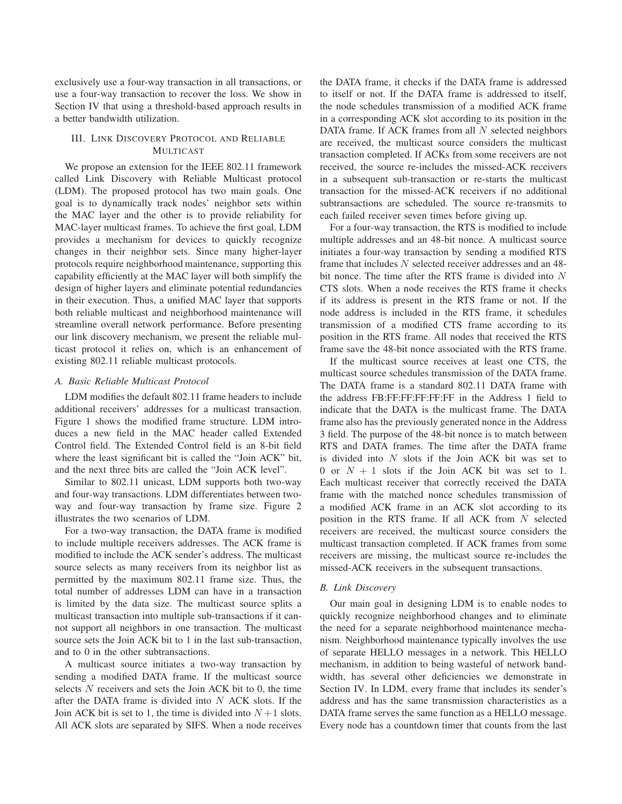exclusively use a four-way transaction in all transactions, or use a four-way transaction to recover the loss. We show in Section IV that using a threshold-based approach results in a better bandwidth utilization.

# III. LINK DISCOVERY PROTOCOL AND RELIABLE MULTICAST

We propose an extension for the IEEE 802.11 framework called Link Discovery with Reliable Multicast protocol (LDM). The proposed protocol has two main goals. One goal is to dynamically track nodes' neighbor sets within the MAC layer and the other is to provide reliability for MAC-layer multicast frames. To achieve the first goal, LDM provides a mechanism for devices to quickly recognize changes in their neighbor sets. Since many higher-layer protocols require neighborhood maintenance, supporting this capability efficiently at the MAC layer will both simplify the design of higher layers and eliminate potential redundancies in their execution. Thus, a unified MAC layer that supports both reliable multicast and neighborhood maintenance will streamline overall network performance. Before presenting our link discovery mechanism, we present the reliable multicast protocol it relies on, which is an enhancement of existing 802.11 reliable multicast protocols.

### *A. Basic Reliable Multicast Protocol*

LDM modifies the default 802.11 frame headers to include additional receivers' addresses for a multicast transaction. Figure 1 shows the modified frame structure. LDM introduces a new field in the MAC header called Extended Control field. The Extended Control field is an 8-bit field where the least significant bit is called the "Join ACK" bit, and the next three bits are called the "Join ACK level".

Similar to 802.11 unicast, LDM supports both two-way and four-way transactions. LDM differentiates between twoway and four-way transaction by frame size. Figure 2 illustrates the two scenarios of LDM.

For a two-way transaction, the DATA frame is modified to include multiple receivers addresses. The ACK frame is modified to include the ACK sender's address. The multicast source selects as many receivers from its neighbor list as permitted by the maximum 802.11 frame size. Thus, the total number of addresses LDM can have in a transaction is limited by the data size. The multicast source splits a multicast transaction into multiple sub-transactions if it cannot support all neighbors in one transaction. The multicast source sets the Join ACK bit to 1 in the last sub-transaction, and to 0 in the other subtransactions.

A multicast source initiates a two-way transaction by sending a modified DATA frame. If the multicast source selects N receivers and sets the Join ACK bit to 0, the time after the DATA frame is divided into  $N$  ACK slots. If the Join ACK bit is set to 1, the time is divided into  $N+1$  slots. All ACK slots are separated by SIFS. When a node receives the DATA frame, it checks if the DATA frame is addressed to itself or not. If the DATA frame is addressed to itself, the node schedules transmission of a modified ACK frame in a corresponding ACK slot according to its position in the DATA frame. If ACK frames from all  $N$  selected neighbors are received, the multicast source considers the multicast transaction completed. If ACKs from some receivers are not received, the source re-includes the missed-ACK receivers in a subsequent sub-transaction or re-starts the multicast transaction for the missed-ACK receivers if no additional subtransactions are scheduled. The source re-transmits to each failed receiver seven times before giving up.

For a four-way transaction, the RTS is modified to include multiple addresses and an 48-bit nonce. A multicast source initiates a four-way transaction by sending a modified RTS frame that includes N selected receiver addresses and an 48 bit nonce. The time after the RTS frame is divided into N CTS slots. When a node receives the RTS frame it checks if its address is present in the RTS frame or not. If the node address is included in the RTS frame, it schedules transmission of a modified CTS frame according to its position in the RTS frame. All nodes that received the RTS frame save the 48-bit nonce associated with the RTS frame.

If the multicast source receives at least one CTS, the multicast source schedules transmission of the DATA frame. The DATA frame is a standard 802.11 DATA frame with the address FB:FF:FF:FF:FF:FF in the Address 1 field to indicate that the DATA is the multicast frame. The DATA frame also has the previously generated nonce in the Address 3 field. The purpose of the 48-bit nonce is to match between RTS and DATA frames. The time after the DATA frame is divided into  $N$  slots if the Join ACK bit was set to 0 or  $N + 1$  slots if the Join ACK bit was set to 1. Each multicast receiver that correctly received the DATA frame with the matched nonce schedules transmission of a modified ACK frame in an ACK slot according to its position in the RTS frame. If all ACK from  $N$  selected receivers are received, the multicast source considers the multicast transaction completed. If ACK frames from some receivers are missing, the multicast source re-includes the missed-ACK receivers in the subsequent transactions.

## *B. Link Discovery*

Our main goal in designing LDM is to enable nodes to quickly recognize neighborhood changes and to eliminate the need for a separate neighborhood maintenance mechanism. Neighborhood maintenance typically involves the use of separate HELLO messages in a network. This HELLO mechanism, in addition to being wasteful of network bandwidth, has several other deficiencies we demonstrate in Section IV. In LDM, every frame that includes its sender's address and has the same transmission characteristics as a DATA frame serves the same function as a HELLO message. Every node has a countdown timer that counts from the last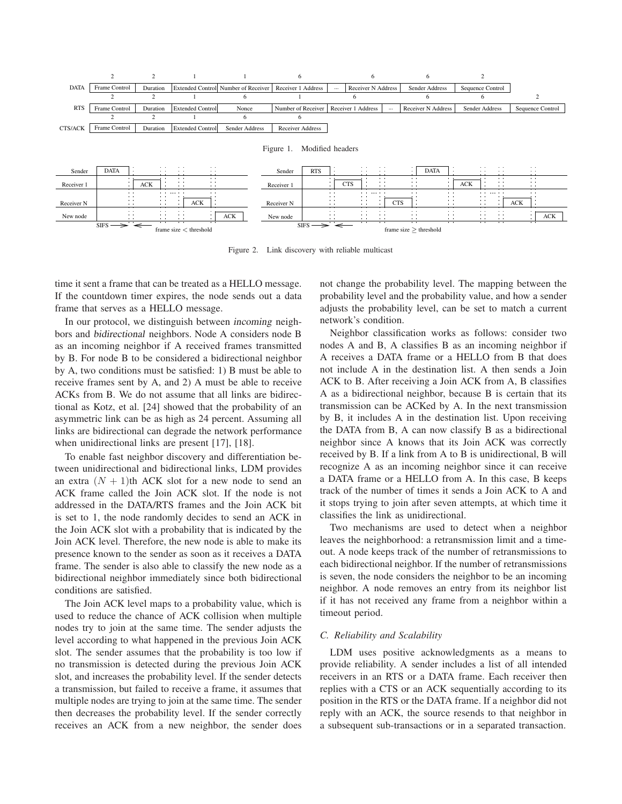

Figure 2. Link discovery with reliable multicast

time it sent a frame that can be treated as a HELLO message. If the countdown timer expires, the node sends out a data frame that serves as a HELLO message.

In our protocol, we distinguish between incoming neighbors and bidirectional neighbors. Node A considers node B as an incoming neighbor if A received frames transmitted by B. For node B to be considered a bidirectional neighbor by A, two conditions must be satisfied: 1) B must be able to receive frames sent by A, and 2) A must be able to receive ACKs from B. We do not assume that all links are bidirectional as Kotz, et al. [24] showed that the probability of an asymmetric link can be as high as 24 percent. Assuming all links are bidirectional can degrade the network performance when unidirectional links are present [17], [18].

To enable fast neighbor discovery and differentiation between unidirectional and bidirectional links, LDM provides an extra  $(N + 1)$ th ACK slot for a new node to send an ACK frame called the Join ACK slot. If the node is not addressed in the DATA/RTS frames and the Join ACK bit is set to 1, the node randomly decides to send an ACK in the Join ACK slot with a probability that is indicated by the Join ACK level. Therefore, the new node is able to make its presence known to the sender as soon as it receives a DATA frame. The sender is also able to classify the new node as a bidirectional neighbor immediately since both bidirectional conditions are satisfied.

The Join ACK level maps to a probability value, which is used to reduce the chance of ACK collision when multiple nodes try to join at the same time. The sender adjusts the level according to what happened in the previous Join ACK slot. The sender assumes that the probability is too low if no transmission is detected during the previous Join ACK slot, and increases the probability level. If the sender detects a transmission, but failed to receive a frame, it assumes that multiple nodes are trying to join at the same time. The sender then decreases the probability level. If the sender correctly receives an ACK from a new neighbor, the sender does not change the probability level. The mapping between the probability level and the probability value, and how a sender adjusts the probability level, can be set to match a current network's condition.

Neighbor classification works as follows: consider two nodes A and B, A classifies B as an incoming neighbor if A receives a DATA frame or a HELLO from B that does not include A in the destination list. A then sends a Join ACK to B. After receiving a Join ACK from A, B classifies A as a bidirectional neighbor, because B is certain that its transmission can be ACKed by A. In the next transmission by B, it includes A in the destination list. Upon receiving the DATA from B, A can now classify B as a bidirectional neighbor since A knows that its Join ACK was correctly received by B. If a link from A to B is unidirectional, B will recognize A as an incoming neighbor since it can receive a DATA frame or a HELLO from A. In this case, B keeps track of the number of times it sends a Join ACK to A and it stops trying to join after seven attempts, at which time it classifies the link as unidirectional.

Two mechanisms are used to detect when a neighbor leaves the neighborhood: a retransmission limit and a timeout. A node keeps track of the number of retransmissions to each bidirectional neighbor. If the number of retransmissions is seven, the node considers the neighbor to be an incoming neighbor. A node removes an entry from its neighbor list if it has not received any frame from a neighbor within a timeout period.

#### *C. Reliability and Scalability*

LDM uses positive acknowledgments as a means to provide reliability. A sender includes a list of all intended receivers in an RTS or a DATA frame. Each receiver then replies with a CTS or an ACK sequentially according to its position in the RTS or the DATA frame. If a neighbor did not reply with an ACK, the source resends to that neighbor in a subsequent sub-transactions or in a separated transaction.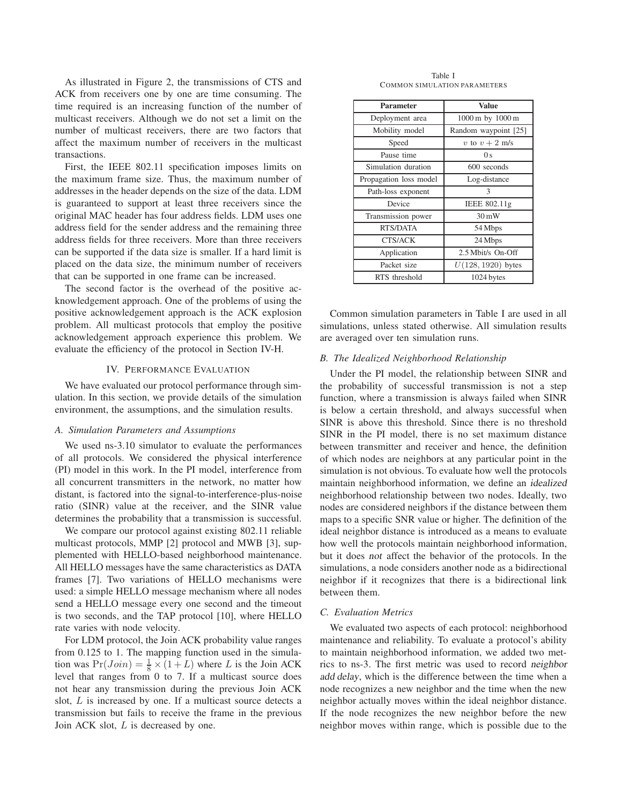As illustrated in Figure 2, the transmissions of CTS and ACK from receivers one by one are time consuming. The time required is an increasing function of the number of multicast receivers. Although we do not set a limit on the number of multicast receivers, there are two factors that affect the maximum number of receivers in the multicast transactions.

First, the IEEE 802.11 specification imposes limits on the maximum frame size. Thus, the maximum number of addresses in the header depends on the size of the data. LDM is guaranteed to support at least three receivers since the original MAC header has four address fields. LDM uses one address field for the sender address and the remaining three address fields for three receivers. More than three receivers can be supported if the data size is smaller. If a hard limit is placed on the data size, the minimum number of receivers that can be supported in one frame can be increased.

The second factor is the overhead of the positive acknowledgement approach. One of the problems of using the positive acknowledgement approach is the ACK explosion problem. All multicast protocols that employ the positive acknowledgement approach experience this problem. We evaluate the efficiency of the protocol in Section IV-H.

### IV. PERFORMANCE EVALUATION

We have evaluated our protocol performance through simulation. In this section, we provide details of the simulation environment, the assumptions, and the simulation results.

#### *A. Simulation Parameters and Assumptions*

We used ns-3.10 simulator to evaluate the performances of all protocols. We considered the physical interference (PI) model in this work. In the PI model, interference from all concurrent transmitters in the network, no matter how distant, is factored into the signal-to-interference-plus-noise ratio (SINR) value at the receiver, and the SINR value determines the probability that a transmission is successful.

We compare our protocol against existing 802.11 reliable multicast protocols, MMP [2] protocol and MWB [3], supplemented with HELLO-based neighborhood maintenance. All HELLO messages have the same characteristics as DATA frames [7]. Two variations of HELLO mechanisms were used: a simple HELLO message mechanism where all nodes send a HELLO message every one second and the timeout is two seconds, and the TAP protocol [10], where HELLO rate varies with node velocity.

For LDM protocol, the Join ACK probability value ranges from 0.125 to 1. The mapping function used in the simulation was  $Pr(Join) = \frac{1}{8} \times (1 + L)$  where L is the Join ACK level that ranges from 0 to 7. If a multicast source does not hear any transmission during the previous Join ACK slot, L is increased by one. If a multicast source detects a transmission but fails to receive the frame in the previous Join ACK slot, L is decreased by one.

Table I COMMON SIMULATION PARAMETERS

| <b>Parameter</b>       | Value                |
|------------------------|----------------------|
| Deployment area        | 1000 m by 1000 m     |
| Mobility model         | Random waypoint [25] |
| Speed                  | v to $v + 2$ m/s     |
| Pause time             | 0 <sub>s</sub>       |
| Simulation duration    | 600 seconds          |
| Propagation loss model | Log-distance         |
| Path-loss exponent     | 3                    |
| Device                 | IEEE 802.11g         |
| Transmission power     | $30 \,\mathrm{mW}$   |
| RTS/DATA               | 54 Mbps              |
| CTS/ACK                | 24 Mbps              |
| Application            | 2.5 Mbit/s On-Off    |
| Packet size            | $U(128, 1920)$ bytes |
| RTS threshold          | 1024 bytes           |

Common simulation parameters in Table I are used in all simulations, unless stated otherwise. All simulation results are averaged over ten simulation runs.

#### *B. The Idealized Neighborhood Relationship*

Under the PI model, the relationship between SINR and the probability of successful transmission is not a step function, where a transmission is always failed when SINR is below a certain threshold, and always successful when SINR is above this threshold. Since there is no threshold SINR in the PI model, there is no set maximum distance between transmitter and receiver and hence, the definition of which nodes are neighbors at any particular point in the simulation is not obvious. To evaluate how well the protocols maintain neighborhood information, we define an idealized neighborhood relationship between two nodes. Ideally, two nodes are considered neighbors if the distance between them maps to a specific SNR value or higher. The definition of the ideal neighbor distance is introduced as a means to evaluate how well the protocols maintain neighborhood information, but it does not affect the behavior of the protocols. In the simulations, a node considers another node as a bidirectional neighbor if it recognizes that there is a bidirectional link between them.

### *C. Evaluation Metrics*

We evaluated two aspects of each protocol: neighborhood maintenance and reliability. To evaluate a protocol's ability to maintain neighborhood information, we added two metrics to ns-3. The first metric was used to record neighbor add delay, which is the difference between the time when a node recognizes a new neighbor and the time when the new neighbor actually moves within the ideal neighbor distance. If the node recognizes the new neighbor before the new neighbor moves within range, which is possible due to the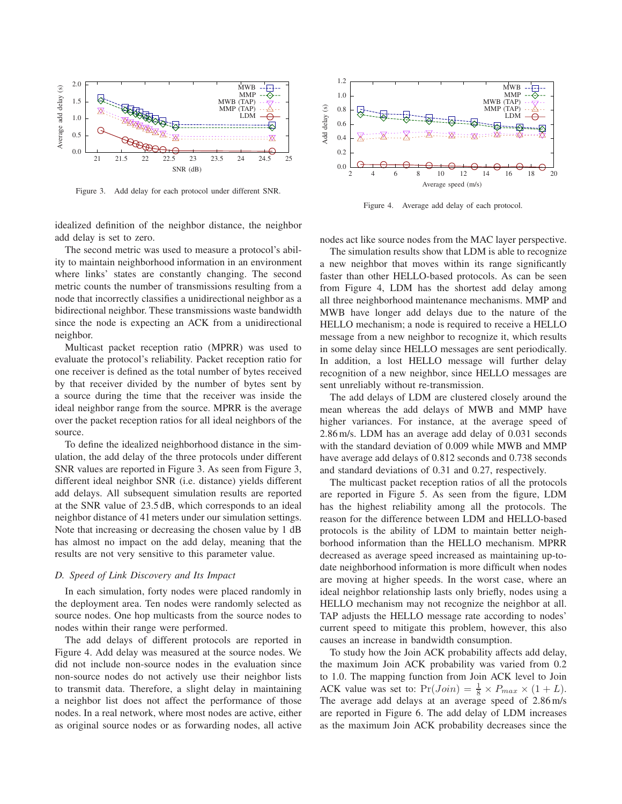

Figure 3. Add delay for each protocol under different SNR.

idealized definition of the neighbor distance, the neighbor add delay is set to zero.

The second metric was used to measure a protocol's ability to maintain neighborhood information in an environment where links' states are constantly changing. The second metric counts the number of transmissions resulting from a node that incorrectly classifies a unidirectional neighbor as a bidirectional neighbor. These transmissions waste bandwidth since the node is expecting an ACK from a unidirectional neighbor.

Multicast packet reception ratio (MPRR) was used to evaluate the protocol's reliability. Packet reception ratio for one receiver is defined as the total number of bytes received by that receiver divided by the number of bytes sent by a source during the time that the receiver was inside the ideal neighbor range from the source. MPRR is the average over the packet reception ratios for all ideal neighbors of the source.

To define the idealized neighborhood distance in the simulation, the add delay of the three protocols under different SNR values are reported in Figure 3. As seen from Figure 3, different ideal neighbor SNR (i.e. distance) yields different add delays. All subsequent simulation results are reported at the SNR value of 23.5 dB, which corresponds to an ideal neighbor distance of 41 meters under our simulation settings. Note that increasing or decreasing the chosen value by 1 dB has almost no impact on the add delay, meaning that the results are not very sensitive to this parameter value.

#### *D. Speed of Link Discovery and Its Impact*

In each simulation, forty nodes were placed randomly in the deployment area. Ten nodes were randomly selected as source nodes. One hop multicasts from the source nodes to nodes within their range were performed.

The add delays of different protocols are reported in Figure 4. Add delay was measured at the source nodes. We did not include non-source nodes in the evaluation since non-source nodes do not actively use their neighbor lists to transmit data. Therefore, a slight delay in maintaining a neighbor list does not affect the performance of those nodes. In a real network, where most nodes are active, either as original source nodes or as forwarding nodes, all active



Figure 4. Average add delay of each protocol.

nodes act like source nodes from the MAC layer perspective.

The simulation results show that LDM is able to recognize a new neighbor that moves within its range significantly faster than other HELLO-based protocols. As can be seen from Figure 4, LDM has the shortest add delay among all three neighborhood maintenance mechanisms. MMP and MWB have longer add delays due to the nature of the HELLO mechanism; a node is required to receive a HELLO message from a new neighbor to recognize it, which results in some delay since HELLO messages are sent periodically. In addition, a lost HELLO message will further delay recognition of a new neighbor, since HELLO messages are sent unreliably without re-transmission.

The add delays of LDM are clustered closely around the mean whereas the add delays of MWB and MMP have higher variances. For instance, at the average speed of 2.86 m/s. LDM has an average add delay of 0.031 seconds with the standard deviation of 0.009 while MWB and MMP have average add delays of 0.812 seconds and 0.738 seconds and standard deviations of 0.31 and 0.27, respectively.

The multicast packet reception ratios of all the protocols are reported in Figure 5. As seen from the figure, LDM has the highest reliability among all the protocols. The reason for the difference between LDM and HELLO-based protocols is the ability of LDM to maintain better neighborhood information than the HELLO mechanism. MPRR decreased as average speed increased as maintaining up-todate neighborhood information is more difficult when nodes are moving at higher speeds. In the worst case, where an ideal neighbor relationship lasts only briefly, nodes using a HELLO mechanism may not recognize the neighbor at all. TAP adjusts the HELLO message rate according to nodes' current speed to mitigate this problem, however, this also causes an increase in bandwidth consumption.

To study how the Join ACK probability affects add delay, the maximum Join ACK probability was varied from 0.2 to 1.0. The mapping function from Join ACK level to Join ACK value was set to:  $Pr(Join) = \frac{1}{8} \times P_{max} \times (1 + L)$ . The average add delays at an average speed of 2.86 m/s are reported in Figure 6. The add delay of LDM increases as the maximum Join ACK probability decreases since the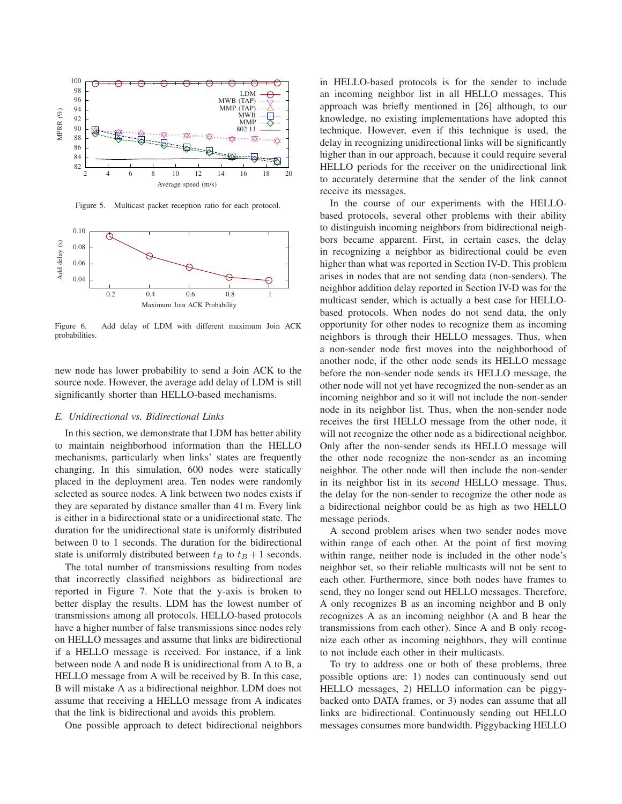

Figure 5. Multicast packet reception ratio for each protocol.



Figure 6. Add delay of LDM with different maximum Join ACK probabilities.

new node has lower probability to send a Join ACK to the source node. However, the average add delay of LDM is still significantly shorter than HELLO-based mechanisms.

### *E. Unidirectional vs. Bidirectional Links*

In this section, we demonstrate that LDM has better ability to maintain neighborhood information than the HELLO mechanisms, particularly when links' states are frequently changing. In this simulation, 600 nodes were statically placed in the deployment area. Ten nodes were randomly selected as source nodes. A link between two nodes exists if they are separated by distance smaller than 41 m. Every link is either in a bidirectional state or a unidirectional state. The duration for the unidirectional state is uniformly distributed between 0 to 1 seconds. The duration for the bidirectional state is uniformly distributed between  $t_B$  to  $t_B + 1$  seconds.

The total number of transmissions resulting from nodes that incorrectly classified neighbors as bidirectional are reported in Figure 7. Note that the y-axis is broken to better display the results. LDM has the lowest number of transmissions among all protocols. HELLO-based protocols have a higher number of false transmissions since nodes rely on HELLO messages and assume that links are bidirectional if a HELLO message is received. For instance, if a link between node A and node B is unidirectional from A to B, a HELLO message from A will be received by B. In this case, B will mistake A as a bidirectional neighbor. LDM does not assume that receiving a HELLO message from A indicates that the link is bidirectional and avoids this problem.

One possible approach to detect bidirectional neighbors

in HELLO-based protocols is for the sender to include an incoming neighbor list in all HELLO messages. This approach was briefly mentioned in [26] although, to our knowledge, no existing implementations have adopted this technique. However, even if this technique is used, the delay in recognizing unidirectional links will be significantly higher than in our approach, because it could require several HELLO periods for the receiver on the unidirectional link to accurately determine that the sender of the link cannot receive its messages.

In the course of our experiments with the HELLObased protocols, several other problems with their ability to distinguish incoming neighbors from bidirectional neighbors became apparent. First, in certain cases, the delay in recognizing a neighbor as bidirectional could be even higher than what was reported in Section IV-D. This problem arises in nodes that are not sending data (non-senders). The neighbor addition delay reported in Section IV-D was for the multicast sender, which is actually a best case for HELLObased protocols. When nodes do not send data, the only opportunity for other nodes to recognize them as incoming neighbors is through their HELLO messages. Thus, when a non-sender node first moves into the neighborhood of another node, if the other node sends its HELLO message before the non-sender node sends its HELLO message, the other node will not yet have recognized the non-sender as an incoming neighbor and so it will not include the non-sender node in its neighbor list. Thus, when the non-sender node receives the first HELLO message from the other node, it will not recognize the other node as a bidirectional neighbor. Only after the non-sender sends its HELLO message will the other node recognize the non-sender as an incoming neighbor. The other node will then include the non-sender in its neighbor list in its second HELLO message. Thus, the delay for the non-sender to recognize the other node as a bidirectional neighbor could be as high as two HELLO message periods.

A second problem arises when two sender nodes move within range of each other. At the point of first moving within range, neither node is included in the other node's neighbor set, so their reliable multicasts will not be sent to each other. Furthermore, since both nodes have frames to send, they no longer send out HELLO messages. Therefore, A only recognizes B as an incoming neighbor and B only recognizes A as an incoming neighbor (A and B hear the transmissions from each other). Since A and B only recognize each other as incoming neighbors, they will continue to not include each other in their multicasts.

To try to address one or both of these problems, three possible options are: 1) nodes can continuously send out HELLO messages, 2) HELLO information can be piggybacked onto DATA frames, or 3) nodes can assume that all links are bidirectional. Continuously sending out HELLO messages consumes more bandwidth. Piggybacking HELLO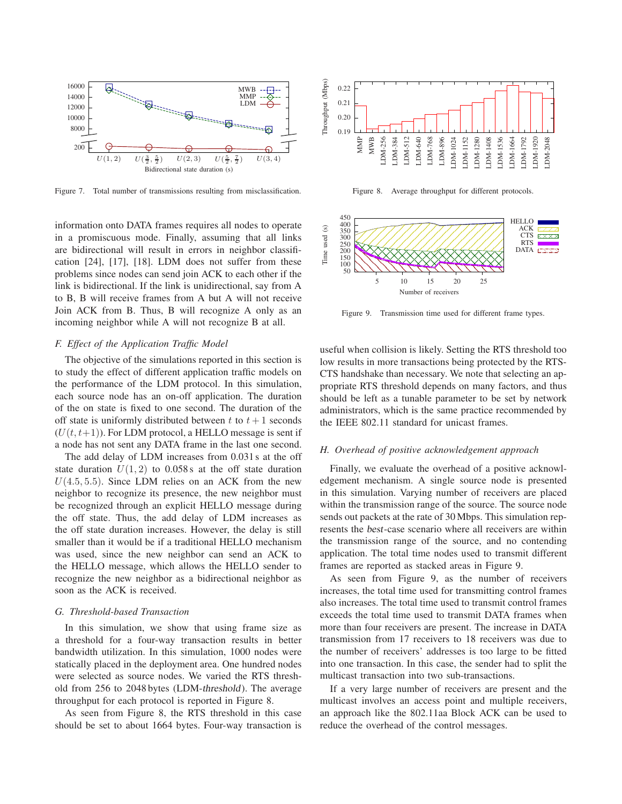

Figure 7. Total number of transmissions resulting from misclassification.

information onto DATA frames requires all nodes to operate in a promiscuous mode. Finally, assuming that all links are bidirectional will result in errors in neighbor classification [24], [17], [18]. LDM does not suffer from these problems since nodes can send join ACK to each other if the link is bidirectional. If the link is unidirectional, say from A to B, B will receive frames from A but A will not receive Join ACK from B. Thus, B will recognize A only as an incoming neighbor while A will not recognize B at all.

#### *F. Effect of the Application Traffic Model*

The objective of the simulations reported in this section is to study the effect of different application traffic models on the performance of the LDM protocol. In this simulation, each source node has an on-off application. The duration of the on state is fixed to one second. The duration of the off state is uniformly distributed between t to  $t + 1$  seconds  $(U(t, t+1))$ . For LDM protocol, a HELLO message is sent if a node has not sent any DATA frame in the last one second.

The add delay of LDM increases from 0.031 s at the off state duration  $U(1, 2)$  to 0.058 s at the off state duration  $U(4.5, 5.5)$ . Since LDM relies on an ACK from the new neighbor to recognize its presence, the new neighbor must be recognized through an explicit HELLO message during the off state. Thus, the add delay of LDM increases as the off state duration increases. However, the delay is still smaller than it would be if a traditional HELLO mechanism was used, since the new neighbor can send an ACK to the HELLO message, which allows the HELLO sender to recognize the new neighbor as a bidirectional neighbor as soon as the ACK is received.

### *G. Threshold-based Transaction*

In this simulation, we show that using frame size as a threshold for a four-way transaction results in better bandwidth utilization. In this simulation, 1000 nodes were statically placed in the deployment area. One hundred nodes were selected as source nodes. We varied the RTS threshold from 256 to 2048 bytes (LDM-threshold). The average throughput for each protocol is reported in Figure 8.

As seen from Figure 8, the RTS threshold in this case should be set to about 1664 bytes. Four-way transaction is



Figure 8. Average throughput for different protocols.



Figure 9. Transmission time used for different frame types.

useful when collision is likely. Setting the RTS threshold too low results in more transactions being protected by the RTS-CTS handshake than necessary. We note that selecting an appropriate RTS threshold depends on many factors, and thus should be left as a tunable parameter to be set by network administrators, which is the same practice recommended by the IEEE 802.11 standard for unicast frames.

#### *H. Overhead of positive acknowledgement approach*

Finally, we evaluate the overhead of a positive acknowledgement mechanism. A single source node is presented in this simulation. Varying number of receivers are placed within the transmission range of the source. The source node sends out packets at the rate of 30 Mbps. This simulation represents the best-case scenario where all receivers are within the transmission range of the source, and no contending application. The total time nodes used to transmit different frames are reported as stacked areas in Figure 9.

As seen from Figure 9, as the number of receivers increases, the total time used for transmitting control frames also increases. The total time used to transmit control frames exceeds the total time used to transmit DATA frames when more than four receivers are present. The increase in DATA transmission from 17 receivers to 18 receivers was due to the number of receivers' addresses is too large to be fitted into one transaction. In this case, the sender had to split the multicast transaction into two sub-transactions.

If a very large number of receivers are present and the multicast involves an access point and multiple receivers, an approach like the 802.11aa Block ACK can be used to reduce the overhead of the control messages.